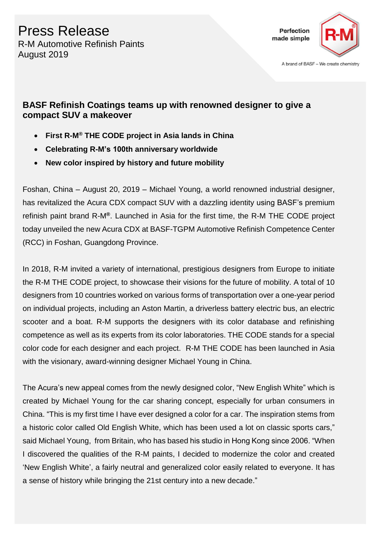

A brand of BASF - We create chemistry

### **BASF Refinish Coatings teams up with renowned designer to give a compact SUV a makeover**

- **First R-M® THE CODE project in Asia lands in China**
- **Celebrating R-M's 100th anniversary worldwide**
- **New color inspired by history and future mobility**

Foshan, China – August 20, 2019 – Michael Young, a world renowned industrial designer, has revitalized the Acura CDX compact SUV with a dazzling identity using BASF's premium refinish paint brand R-M**®**. Launched in Asia for the first time, the R-M THE CODE project today unveiled the new Acura CDX at BASF-TGPM Automotive Refinish Competence Center (RCC) in Foshan, Guangdong Province.

In 2018, R-M invited a variety of international, prestigious designers from Europe to initiate the R-M THE CODE project, to showcase their visions for the future of mobility. A total of 10 designers from 10 countries worked on various forms of transportation over a one-year period on individual projects, including an Aston Martin, a driverless battery electric bus, an electric scooter and a boat. R-M supports the designers with its color database and refinishing competence as well as its experts from its color laboratories. THE CODE stands for a special color code for each designer and each project.R-M THE CODE has been launched in Asia with the visionary, award-winning designer Michael Young in China.

The Acura's new appeal comes from the newly designed color, "New English White" which is created by Michael Young for the car sharing concept, especially for urban consumers in China. "This is my first time I have ever designed a color for a car. The inspiration stems from a historic color called Old English White, which has been used a lot on classic sports cars," said Michael Young, from Britain, who has based his studio in Hong Kong since 2006. "When I discovered the qualities of the R-M paints, I decided to modernize the color and created 'New English White', a fairly neutral and generalized color easily related to everyone. It has a sense of history while bringing the 21st century into a new decade."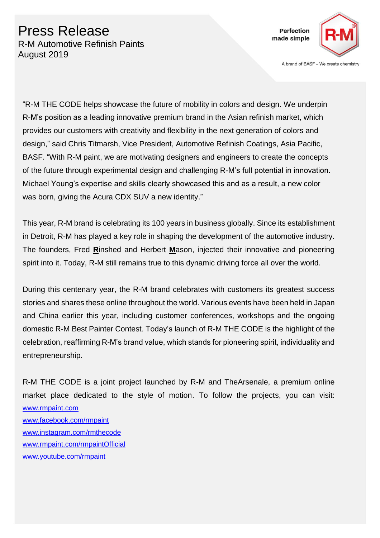## Press Release R-M Automotive Refinish Paints August 2019



A brand of BASF - We create chemistry

"R-M THE CODE helps showcase the future of mobility in colors and design. We underpin R-M's position as a leading innovative premium brand in the Asian refinish market, which provides our customers with creativity and flexibility in the next generation of colors and design," said Chris Titmarsh, Vice President, Automotive Refinish Coatings, Asia Pacific, BASF. "With R-M paint, we are motivating designers and engineers to create the concepts of the future through experimental design and challenging R-M's full potential in innovation. Michael Young's expertise and skills clearly showcased this and as a result, a new color was born, giving the Acura CDX SUV a new identity."

This year, R-M brand is celebrating its 100 years in business globally. Since its establishment in Detroit, R-M has played a key role in shaping the development of the automotive industry. The founders, Fred **R**inshed and Herbert **M**ason, injected their innovative and pioneering spirit into it. Today, R-M still remains true to this dynamic driving force all over the world.

During this centenary year, the R-M brand celebrates with customers its greatest success stories and shares these online throughout the world. Various events have been held in Japan and China earlier this year, including customer conferences, workshops and the ongoing domestic R-M Best Painter Contest. Today's launch of R-M THE CODE is the highlight of the celebration, reaffirming R-M's brand value, which stands for pioneering spirit, individuality and entrepreneurship.

R-M THE CODE is a joint project launched by R-M and TheArsenale, a premium online market place dedicated to the style of motion. To follow the projects, you can visit: [www.rmpaint.com](http://www.rmpaint.com/) [www.facebook.com/rmpaint](http://www.facebook.com/rmpaint) [www.instagram.com/rmthecode](http://www.instagram.com/rmthecode) [www.rmpaint.com/rmpaintOfficial](http://www.rmpaint.com/rmpaintOfficial) [www.youtube.com/rmpaint](http://www.youtube.com/rmpaint)